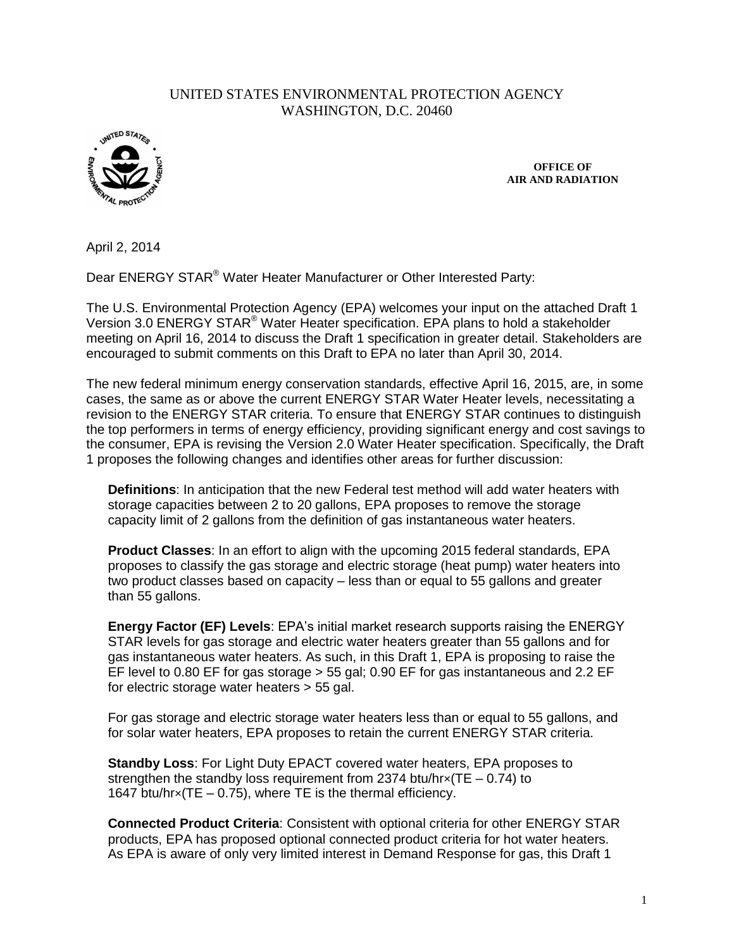## UNITED STATES ENVIRONMENTAL PROTECTION AGENCY WASHINGTON, D.C. 20460



**OFFICE OF AIR AND RADIATION**

April 2, 2014

Dear ENERGY STAR® Water Heater Manufacturer or Other Interested Party:

The U.S. Environmental Protection Agency (EPA) welcomes your input on the attached Draft 1 Version 3.0 ENERGY STAR® Water Heater specification. EPA plans to hold a stakeholder meeting on April 16, 2014 to discuss the Draft 1 specification in greater detail. Stakeholders are encouraged to submit comments on this Draft to EPA no later than April 30, 2014.

The new federal minimum energy conservation standards, effective April 16, 2015, are, in some cases, the same as or above the current ENERGY STAR Water Heater levels, necessitating a revision to the ENERGY STAR criteria. To ensure that ENERGY STAR continues to distinguish the top performers in terms of energy efficiency, providing significant energy and cost savings to the consumer, EPA is revising the Version 2.0 Water Heater specification. Specifically, the Draft 1 proposes the following changes and identifies other areas for further discussion:

**Definitions**: In anticipation that the new Federal test method will add water heaters with storage capacities between 2 to 20 gallons, EPA proposes to remove the storage capacity limit of 2 gallons from the definition of gas instantaneous water heaters.

**Product Classes**: In an effort to align with the upcoming 2015 federal standards, EPA proposes to classify the gas storage and electric storage (heat pump) water heaters into two product classes based on capacity – less than or equal to 55 gallons and greater than 55 gallons.

**Energy Factor (EF) Levels**: EPA's initial market research supports raising the ENERGY STAR levels for gas storage and electric water heaters greater than 55 gallons and for gas instantaneous water heaters. As such, in this Draft 1, EPA is proposing to raise the EF level to 0.80 EF for gas storage  $>$  55 gal; 0.90 EF for gas instantaneous and 2.2 EF for electric storage water heaters > 55 gal.

For gas storage and electric storage water heaters less than or equal to 55 gallons, and for solar water heaters, EPA proposes to retain the current ENERGY STAR criteria.

**Standby Loss**: For Light Duty EPACT covered water heaters, EPA proposes to strengthen the standby loss requirement from 2374 btu/hr $\times$ (TE – 0.74) to 1647 btu/hr×(TE – 0.75), where TE is the thermal efficiency.

**Connected Product Criteria**: Consistent with optional criteria for other ENERGY STAR products, EPA has proposed optional connected product criteria for hot water heaters. As EPA is aware of only very limited interest in Demand Response for gas, this Draft 1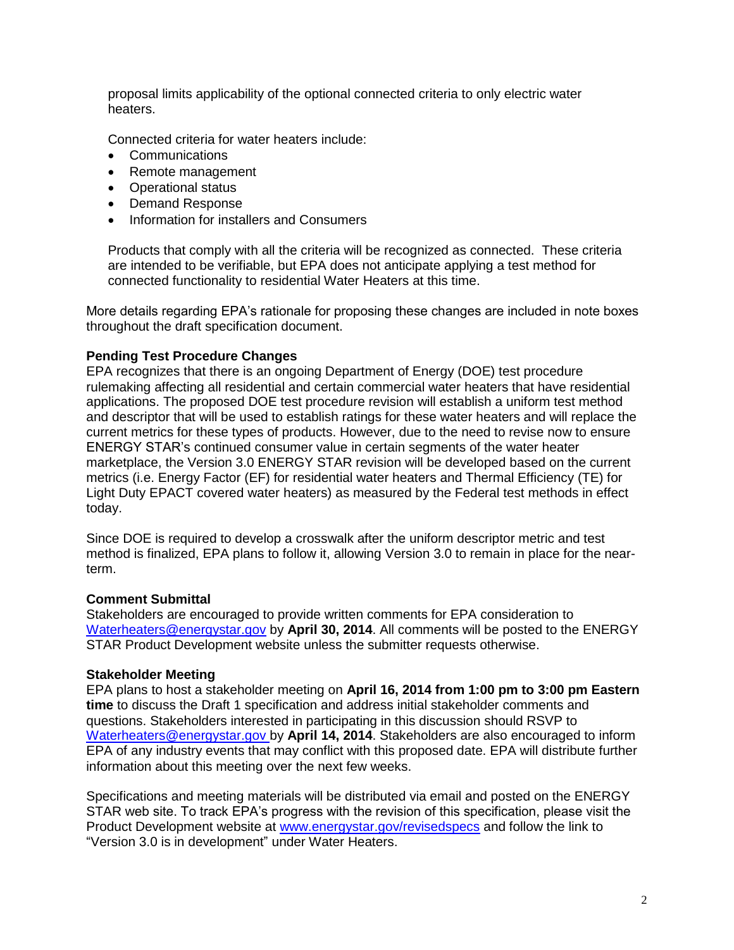proposal limits applicability of the optional connected criteria to only electric water heaters.

Connected criteria for water heaters include:

- **Communications**
- Remote management
- Operational status
- Demand Response
- Information for installers and Consumers

Products that comply with all the criteria will be recognized as connected. These criteria are intended to be verifiable, but EPA does not anticipate applying a test method for connected functionality to residential Water Heaters at this time.

More details regarding EPA's rationale for proposing these changes are included in note boxes throughout the draft specification document.

## **Pending Test Procedure Changes**

EPA recognizes that there is an ongoing Department of Energy (DOE) test procedure rulemaking affecting all residential and certain commercial water heaters that have residential applications. The proposed DOE test procedure revision will establish a uniform test method and descriptor that will be used to establish ratings for these water heaters and will replace the current metrics for these types of products. However, due to the need to revise now to ensure ENERGY STAR's continued consumer value in certain segments of the water heater marketplace, the Version 3.0 ENERGY STAR revision will be developed based on the current metrics (i.e. Energy Factor (EF) for residential water heaters and Thermal Efficiency (TE) for Light Duty EPACT covered water heaters) as measured by the Federal test methods in effect today.

Since DOE is required to develop a crosswalk after the uniform descriptor metric and test method is finalized, EPA plans to follow it, allowing Version 3.0 to remain in place for the nearterm.

## **Comment Submittal**

Stakeholders are encouraged to provide written comments for EPA consideration to [Waterheaters@energystar.gov](mailto:Waterheaters@energystar.gov) by **April 30, 2014**. All comments will be posted to the ENERGY STAR Product Development website unless the submitter requests otherwise.

## **Stakeholder Meeting**

EPA plans to host a stakeholder meeting on **April 16, 2014 from 1:00 pm to 3:00 pm Eastern time** to discuss the Draft 1 specification and address initial stakeholder comments and questions. Stakeholders interested in participating in this discussion should RSVP to [Waterheaters@energystar.gov](mailto:Waterheaters@energystar.gov) by **April 14, 2014**. Stakeholders are also encouraged to inform EPA of any industry events that may conflict with this proposed date. EPA will distribute further information about this meeting over the next few weeks.

Specifications and meeting materials will be distributed via email and posted on the ENERGY STAR web site. To track EPA's progress with the revision of this specification, please visit the Product Development website at [www.energystar.gov/revisedspecs](http://www.energystar.gov/revisedspecs) and follow the link to "Version 3.0 is in development" under Water Heaters.